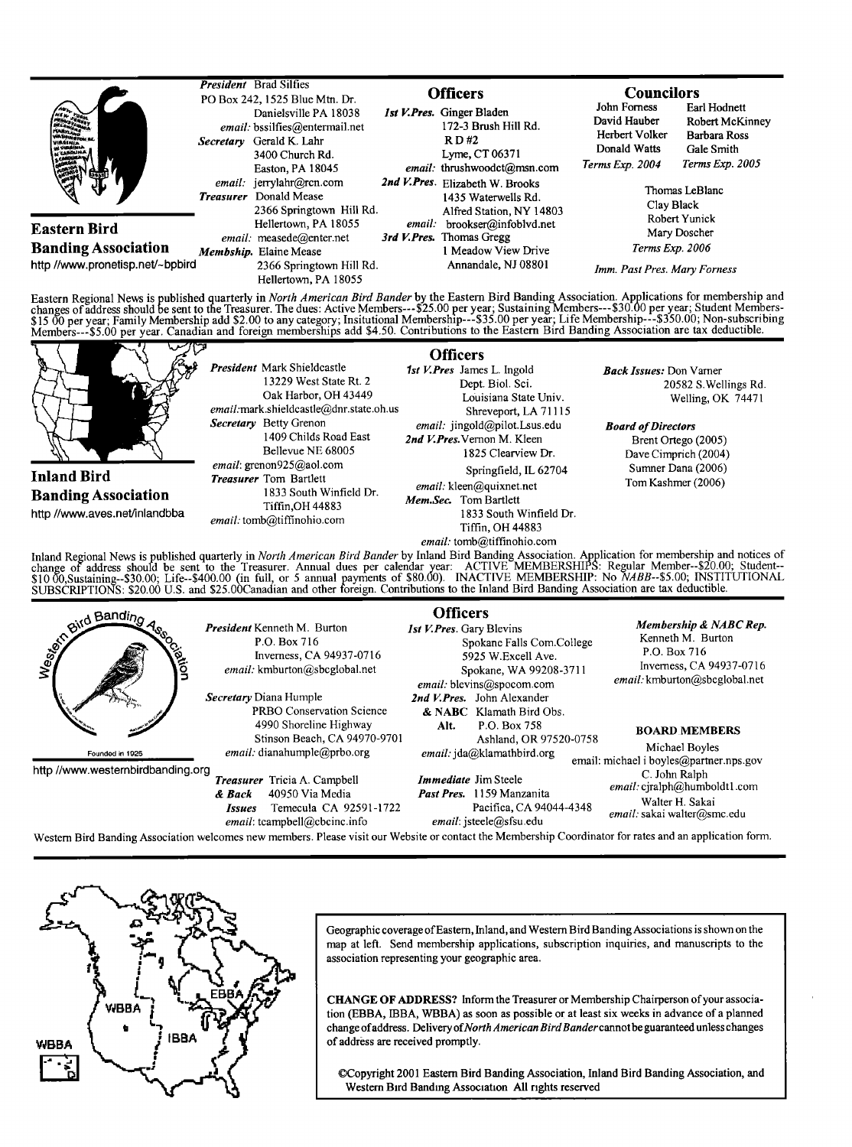

WBBA

WBBA

**IBBA** 

**Geographic coverage ofEastern, Inland, and Westem Bird Banding Associations is shown on the map at left. Send membership applications, subscription inquiries, and manuscripts to the association representing your geographic area.** 

**CHANGE OF ADDRESS? Inform the Treasurer or Membership Chairperson of your association (EBBA, IBBA, WBBA) as soon as possible or at least six weeks in advance of a planned**  change of address. Delivery of North American Bird Bander cannot be guaranteed unless changes **of address are received promptly.** 

©Copyright 2001 Eastern Bird Banding Association, Inland Bird Banding Association, and **Western Bird Banding Association All rights reserved**